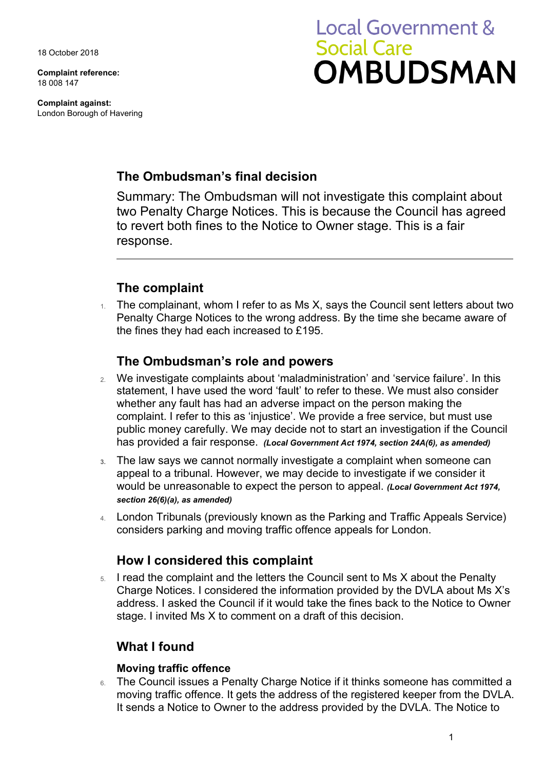18 October 2018

**Complaint reference:**  18 008 147

**Complaint against:**  London Borough of Havering

# **Local Government & Social Care OMBUDSMAN**

## **The Ombudsman's final decision**

Summary: The Ombudsman will not investigate this complaint about two Penalty Charge Notices. This is because the Council has agreed to revert both fines to the Notice to Owner stage. This is a fair response.

# **The complaint**

 $1.$  The complainant, whom I refer to as Ms X, says the Council sent letters about two Penalty Charge Notices to the wrong address. By the time she became aware of the fines they had each increased to £195.

## **The Ombudsman's role and powers**

- 2. We investigate complaints about 'maladministration' and 'service failure'. In this statement, I have used the word 'fault' to refer to these. We must also consider whether any fault has had an adverse impact on the person making the complaint. I refer to this as 'injustice'. We provide a free service, but must use public money carefully. We may decide not to start an investigation if the Council has provided a fair response. *(Local Government Act 1974, section 24A(6), as amended)*
- **3.** The law says we cannot normally investigate a complaint when someone can appeal to a tribunal. However, we may decide to investigate if we consider it would be unreasonable to expect the person to appeal. *(Local Government Act 1974, section 26(6)(a), as amended)*
- 4. London Tribunals (previously known as the Parking and Traffic Appeals Service) considers parking and moving traffic offence appeals for London.

### **How I considered this complaint**

 Charge Notices. I considered the information provided by the DVLA about Ms X's address. I asked the Council if it would take the fines back to the Notice to Owner 5. I read the complaint and the letters the Council sent to Ms X about the Penalty stage. I invited Ms X to comment on a draft of this decision.

## **What I found**

#### **Moving traffic offence**

6. The Council issues a Penalty Charge Notice if it thinks someone has committed a moving traffic offence. It gets the address of the registered keeper from the DVLA. It sends a Notice to Owner to the address provided by the DVLA. The Notice to